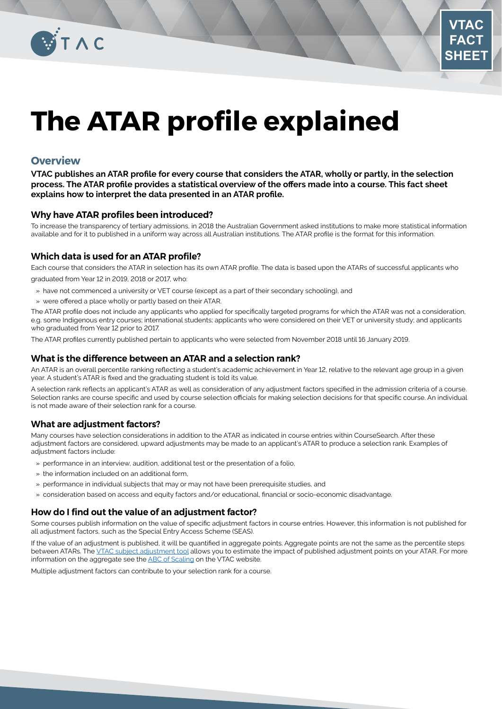

# **The ATAR profile explained**

## **Overview**

**VTAC publishes an ATAR profile for every course that considers the ATAR, wholly or partly, in the selection process. The ATAR profile provides a statistical overview of the offers made into a course. This fact sheet explains how to interpret the data presented in an ATAR profile.**

#### **Why have ATAR profiles been introduced?**

To increase the transparency of tertiary admissions, in 2018 the Australian Government asked institutions to make more statistical information available and for it to published in a uniform way across all Australian institutions. The ATAR profile is the format for this information.

### **Which data is used for an ATAR profile?**

Each course that considers the ATAR in selection has its own ATAR profile. The data is based upon the ATARs of successful applicants who graduated from Year 12 in 2019, 2018 or 2017, who:

- » have not commenced a university or VET course (except as a part of their secondary schooling), and
- » were offered a place wholly or partly based on their ATAR.

The ATAR profile does not include any applicants who applied for specifically targeted programs for which the ATAR was not a consideration, e.g. some Indigenous entry courses; international students; applicants who were considered on their VET or university study; and applicants who graduated from Year 12 prior to 2017.

The ATAR profiles currently published pertain to applicants who were selected from November 2018 until 16 January 2019.

#### **What is the difference between an ATAR and a selection rank?**

An ATAR is an overall percentile ranking reflecting a student's academic achievement in Year 12, relative to the relevant age group in a given year. A student's ATAR is fixed and the graduating student is told its value.

A selection rank reflects an applicant's ATAR as well as consideration of any adjustment factors specified in the admission criteria of a course. Selection ranks are course specific and used by course selection officials for making selection decisions for that specific course. An individual is not made aware of their selection rank for a course.

### **What are adjustment factors?**

Many courses have selection considerations in addition to the ATAR as indicated in course entries within CourseSearch. After these adjustment factors are considered, upward adjustments may be made to an applicant's ATAR to produce a selection rank. Examples of adjustment factors include:

- » performance in an interview, audition, additional test or the presentation of a folio,
- » the information included on an additional form,
- » performance in individual subjects that may or may not have been prerequisite studies, and
- » consideration based on access and equity factors and/or educational, financial or socio-economic disadvantage.

### **How do I find out the value of an adjustment factor?**

Some courses publish information on the value of specific adjustment factors in course entries. However, this information is not published for all adjustment factors, such as the Special Entry Access Scheme (SEAS).

If the value of an adjustment is published, it will be quantified in aggregate points. Aggregate points are not the same as the percentile steps between ATARs. The [VTAC subject adjustment tool](http://delta.vtac.edu.au/CourseSearch/bonuscalc.htm) allows you to estimate the impact of published adjustment points on your ATAR. For more information on the aggregate see the **ABC** of Scaling on the VTAC website.

Multiple adjustment factors can contribute to your selection rank for a course.